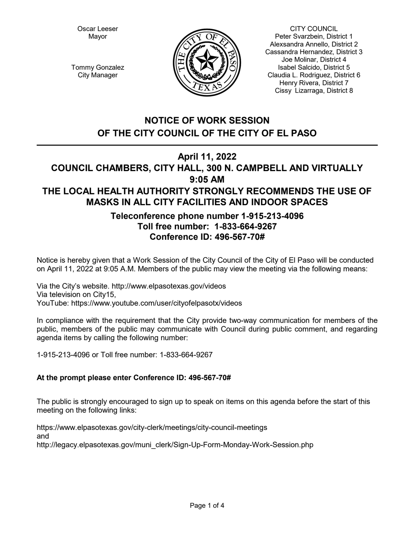Oscar Leeser Mayor



CITY COUNCIL Peter Svarzbein, District 1 Alexsandra Annello, District 2 Cassandra Hernandez, District 3 Joe Molinar, District 4 Isabel Salcido, District 5 Claudia L. Rodriguez, District 6 Henry Rivera, District 7 Cissy Lizarraga, District 8

Tommy Gonzalez City Manager

# **NOTICE OF WORK SESSION OF THE CITY COUNCIL OF THE CITY OF EL PASO**

# **April 11, 2022**

# **COUNCIL CHAMBERS, CITY HALL, 300 N. CAMPBELL AND VIRTUALLY 9:05 AM THE LOCAL HEALTH AUTHORITY STRONGLY RECOMMENDS THE USE OF MASKS IN ALL CITY FACILITIES AND INDOOR SPACES**

# **Teleconference phone number 1-915-213-4096 Toll free number: 1-833-664-9267 Conference ID: 496-567-70#**

Notice is hereby given that a Work Session of the City Council of the City of El Paso will be conducted on April 11, 2022 at 9:05 A.M. Members of the public may view the meeting via the following means:

Via the City's website. http://www.elpasotexas.gov/videos Via television on City15, YouTube: https://www.youtube.com/user/cityofelpasotx/videos

In compliance with the requirement that the City provide two-way communication for members of the public, members of the public may communicate with Council during public comment, and regarding agenda items by calling the following number:

1-915-213-4096 or Toll free number: 1-833-664-9267

## **At the prompt please enter Conference ID: 496-567-70#**

The public is strongly encouraged to sign up to speak on items on this agenda before the start of this meeting on the following links:

https://www.elpasotexas.gov/city-clerk/meetings/city-council-meetings and http://legacy.elpasotexas.gov/muni\_clerk/Sign-Up-Form-Monday-Work-Session.php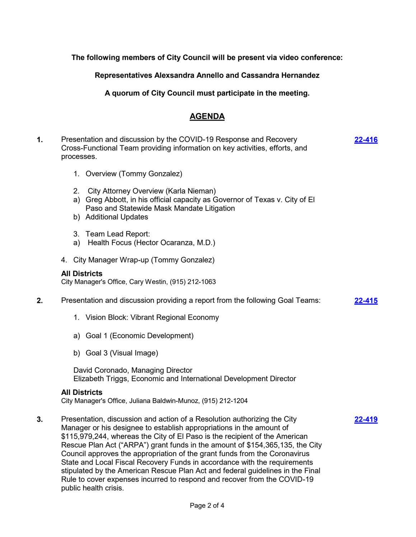**The following members of City Council will be present via video conference:**

**Representatives Alexsandra Annello and Cassandra Hernandez**

**A quorum of City Council must participate in the meeting.**

## **AGENDA**

**[22-416](http://elpasotexas.legistar.com/gateway.aspx?m=l&id=/matter.aspx?key=6880)**

**[22-419](http://elpasotexas.legistar.com/gateway.aspx?m=l&id=/matter.aspx?key=6883)**

- **1.** Presentation and discussion by the COVID-19 Response and Recovery Cross-Functional Team providing information on key activities, efforts, and processes.
	- 1. Overview (Tommy Gonzalez)
	- 2. City Attorney Overview (Karla Nieman)
	- a) Greg Abbott, in his official capacity as Governor of Texas v. City of El Paso and Statewide Mask Mandate Litigation
	- b) Additional Updates
	- 3. Team Lead Report:
	- a) Health Focus (Hector Ocaranza, M.D.)
	- 4. City Manager Wrap-up (Tommy Gonzalez)

#### **All Districts**

City Manager's Office, Cary Westin, (915) 212-1063

- **2.** Presentation and discussion providing a report from the following Goal Teams: **[22-415](http://elpasotexas.legistar.com/gateway.aspx?m=l&id=/matter.aspx?key=6879)**
	- 1. Vision Block: Vibrant Regional Economy
	- a) Goal 1 (Economic Development)
	- b) Goal 3 (Visual Image)

David Coronado, Managing Director Elizabeth Triggs, Economic and International Development Director

#### **All Districts**

City Manager's Office, Juliana Baldwin-Munoz, (915) 212-1204

**3.** Presentation, discussion and action of a Resolution authorizing the City Manager or his designee to establish appropriations in the amount of \$115,979,244, whereas the City of El Paso is the recipient of the American Rescue Plan Act ("ARPA") grant funds in the amount of \$154,365,135, the City Council approves the appropriation of the grant funds from the Coronavirus State and Local Fiscal Recovery Funds in accordance with the requirements stipulated by the American Rescue Plan Act and federal guidelines in the Final Rule to cover expenses incurred to respond and recover from the COVID-19 public health crisis.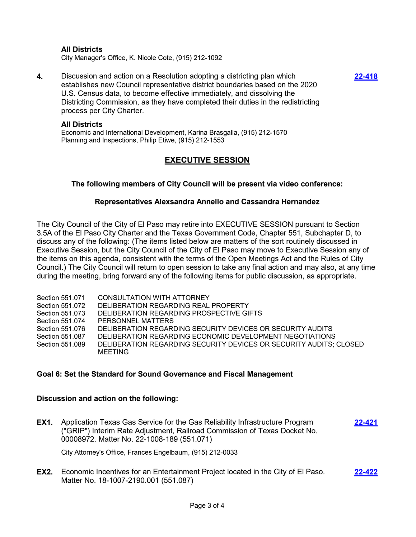### **All Districts**

City Manager's Office, K. Nicole Cote, (915) 212-1092

**4.** Discussion and action on a Resolution adopting a districting plan which establishes new Council representative district boundaries based on the 2020 U.S. Census data, to become effective immediately, and dissolving the Districting Commission, as they have completed their duties in the redistricting process per City Charter.

**[22-418](http://elpasotexas.legistar.com/gateway.aspx?m=l&id=/matter.aspx?key=6882)**

#### **All Districts**

Economic and International Development, Karina Brasgalla, (915) 212-1570 Planning and Inspections, Philip Etiwe, (915) 212-1553

## **EXECUTIVE SESSION**

### **The following members of City Council will be present via video conference:**

#### **Representatives Alexsandra Annello and Cassandra Hernandez**

The City Council of the City of El Paso may retire into EXECUTIVE SESSION pursuant to Section 3.5A of the El Paso City Charter and the Texas Government Code, Chapter 551, Subchapter D, to discuss any of the following: (The items listed below are matters of the sort routinely discussed in Executive Session, but the City Council of the City of El Paso may move to Executive Session any of the items on this agenda, consistent with the terms of the Open Meetings Act and the Rules of City Council.) The City Council will return to open session to take any final action and may also, at any time during the meeting, bring forward any of the following items for public discussion, as appropriate.

Section 551.071 CONSULTATION WITH ATTORNEY Section 551.072 DELIBERATION REGARDING REAL PROPERTY Section 551.073 DELIBERATION REGARDING PROSPECTIVE GIFTS Section 551.074 PERSONNEL MATTERS Section 551.076 DELIBERATION REGARDING SECURITY DEVICES OR SECURITY AUDITS Section 551.087 DELIBERATION REGARDING ECONOMIC DEVELOPMENT NEGOTIATIONS Section 551.089 DELIBERATION REGARDING SECURITY DEVICES OR SECURITY AUDITS; CLOSED MEETING

#### **Goal 6: Set the Standard for Sound Governance and Fiscal Management**

#### **Discussion and action on the following:**

**EX1.** Application Texas Gas Service for the Gas Reliability Infrastructure Program ("GRIP") Interim Rate Adjustment, Railroad Commission of Texas Docket No. 00008972. Matter No. 22-1008-189 (551.071) **[22-421](http://elpasotexas.legistar.com/gateway.aspx?m=l&id=/matter.aspx?key=6885)**

City Attorney's Office, Frances Engelbaum, (915) 212-0033

**EX2.** Economic Incentives for an Entertainment Project located in the City of El Paso. Matter No. 18-1007-2190.001 (551.087) **[22-422](http://elpasotexas.legistar.com/gateway.aspx?m=l&id=/matter.aspx?key=6886)**